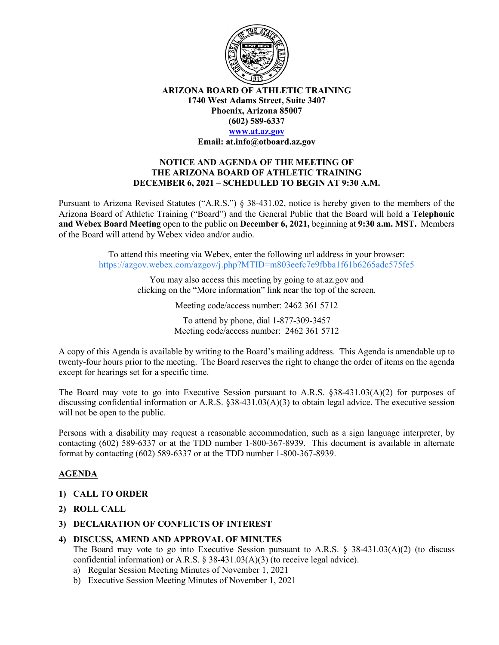

**ARIZONA BOARD OF ATHLETIC TRAINING 1740 West Adams Street, Suite 3407 Phoenix, Arizona 85007 (602) 589-6337**

# **[www.at.az.gov](https://www.at.az.gov/)**

**Email: at.info@otboard.az.gov**

## **NOTICE AND AGENDA OF THE MEETING OF THE ARIZONA BOARD OF ATHLETIC TRAINING DECEMBER 6, 2021 – SCHEDULED TO BEGIN AT 9:30 A.M.**

Pursuant to Arizona Revised Statutes ("A.R.S.") § 38-431.02, notice is hereby given to the members of the Arizona Board of Athletic Training ("Board") and the General Public that the Board will hold a **Telephonic and Webex Board Meeting** open to the public on **December 6, 2021,** beginning at **9:30 a.m. MST.** Members of the Board will attend by Webex video and/or audio.

> To attend this meeting via Webex, enter the following url address in your browser: [https://azgov.webex.com/azgov/j.php?MTID=m803eefc7e9fbba1f61b6265adc575fe5](https://www.google.com/url?q=https://azgov.webex.com/azgov/j.php?MTID%3Dm803eefc7e9fbba1f61b6265adc575fe5&sa=D&source=calendar&ust=1638807515456173&usg=AOvVaw2hQWfpRKq5wLslViIa7R-7)

> > You may also access this meeting by going to at.az.gov and clicking on the "More information" link near the top of the screen.

> > > Meeting code/access number: 2462 361 5712

To attend by phone, dial 1-877-309-3457 Meeting code/access number: 2462 361 5712

A copy of this Agenda is available by writing to the Board's mailing address. This Agenda is amendable up to twenty-four hours prior to the meeting. The Board reserves the right to change the order of items on the agenda except for hearings set for a specific time.

The Board may vote to go into Executive Session pursuant to A.R.S. §38-431.03(A)(2) for purposes of discussing confidential information or A.R.S. §38-431.03(A)(3) to obtain legal advice. The executive session will not be open to the public.

Persons with a disability may request a reasonable accommodation, such as a sign language interpreter, by contacting (602) 589-6337 or at the TDD number 1-800-367-8939. This document is available in alternate format by contacting (602) 589-6337 or at the TDD number 1-800-367-8939.

# **AGENDA**

### **1) CALL TO ORDER**

- **2) ROLL CALL**
- **3) DECLARATION OF CONFLICTS OF INTEREST**

### **4) DISCUSS, AMEND AND APPROVAL OF MINUTES**

The Board may vote to go into Executive Session pursuant to A.R.S.  $\S$  38-431.03(A)(2) (to discuss confidential information) or A.R.S.  $\S$  38-431.03(A)(3) (to receive legal advice).

- a) Regular Session Meeting Minutes of November 1, 2021
- b) Executive Session Meeting Minutes of November 1, 2021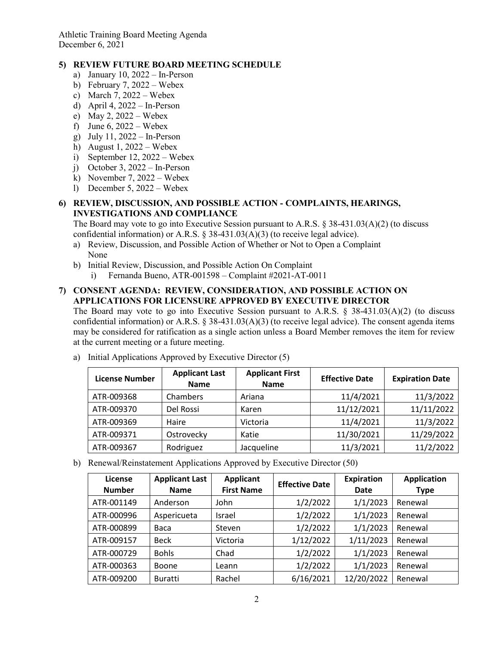Athletic Training Board Meeting Agenda December 6, 2021

# **5) REVIEW FUTURE BOARD MEETING SCHEDULE**

- a) January 10, 2022 In-Person
- b) February 7, 2022 Webex
- c) March 7,  $2022 -$  Webex
- d) April 4, 2022 In-Person
- e) May 2, 2022 Webex
- f) June 6,  $2022 -$  Webex
- g) July 11, 2022 In-Person
- h) August 1,  $2022 -$  Webex
- i) September 12, 2022 Webex
- j) October 3, 2022 In-Person
- k) November 7, 2022 Webex
- l) December 5, 2022 Webex

## **6) REVIEW, DISCUSSION, AND POSSIBLE ACTION - COMPLAINTS, HEARINGS, INVESTIGATIONS AND COMPLIANCE**

The Board may vote to go into Executive Session pursuant to A.R.S. § 38-431.03(A)(2) (to discuss confidential information) or A.R.S.  $\S$  38-431.03(A)(3) (to receive legal advice).

- a) Review, Discussion, and Possible Action of Whether or Not to Open a Complaint None
- b) Initial Review, Discussion, and Possible Action On Complaint
	- i) Fernanda Bueno, ATR-001598 Complaint #2021-AT-0011

## **7) CONSENT AGENDA: REVIEW, CONSIDERATION, AND POSSIBLE ACTION ON APPLICATIONS FOR LICENSURE APPROVED BY EXECUTIVE DIRECTOR**

The Board may vote to go into Executive Session pursuant to A.R.S.  $\S$  38-431.03(A)(2) (to discuss confidential information) or A.R.S. § 38-431.03(A)(3) (to receive legal advice). The consent agenda items may be considered for ratification as a single action unless a Board Member removes the item for review at the current meeting or a future meeting.

| <b>License Number</b> | <b>Applicant Last</b><br><b>Name</b> | <b>Applicant First</b><br><b>Name</b> | <b>Effective Date</b> | <b>Expiration Date</b> |
|-----------------------|--------------------------------------|---------------------------------------|-----------------------|------------------------|
| ATR-009368            | Chambers                             | Ariana                                | 11/4/2021             | 11/3/2022              |
| ATR-009370            | Del Rossi                            | Karen                                 | 11/12/2021            | 11/11/2022             |
| ATR-009369            | Haire                                | Victoria                              | 11/4/2021             | 11/3/2022              |
| ATR-009371            | Ostrovecky                           | Katie                                 | 11/30/2021            | 11/29/2022             |
| ATR-009367            | Rodriguez                            | Jacqueline                            | 11/3/2021             | 11/2/2022              |

a) Initial Applications Approved by Executive Director (5)

b) Renewal/Reinstatement Applications Approved by Executive Director (50)

| License<br><b>Number</b> | <b>Applicant Last</b><br><b>Name</b> | <b>Applicant</b><br><b>First Name</b> | <b>Effective Date</b> | <b>Expiration</b><br>Date | <b>Application</b><br><b>Type</b> |
|--------------------------|--------------------------------------|---------------------------------------|-----------------------|---------------------------|-----------------------------------|
| ATR-001149               | Anderson                             | John                                  | 1/2/2022              | 1/1/2023                  | Renewal                           |
| ATR-000996               | Aspericueta                          | Israel                                | 1/2/2022              | 1/1/2023                  | Renewal                           |
| ATR-000899               | Baca                                 | Steven                                | 1/2/2022              | 1/1/2023                  | Renewal                           |
| ATR-009157               | <b>Beck</b>                          | Victoria                              | 1/12/2022             | 1/11/2023                 | Renewal                           |
| ATR-000729               | <b>Bohls</b>                         | Chad                                  | 1/2/2022              | 1/1/2023                  | Renewal                           |
| ATR-000363               | Boone                                | Leann                                 | 1/2/2022              | 1/1/2023                  | Renewal                           |
| ATR-009200               | <b>Buratti</b>                       | Rachel                                | 6/16/2021             | 12/20/2022                | Renewal                           |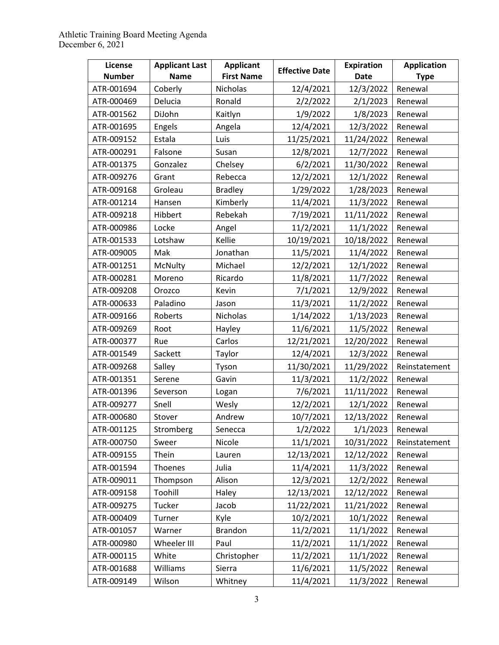| License       | <b>Applicant Last</b> | <b>Applicant</b>  | <b>Effective Date</b> | <b>Expiration</b> | <b>Application</b> |
|---------------|-----------------------|-------------------|-----------------------|-------------------|--------------------|
| <b>Number</b> | <b>Name</b>           | <b>First Name</b> |                       | <b>Date</b>       | <b>Type</b>        |
| ATR-001694    | Coberly               | Nicholas          | 12/4/2021             | 12/3/2022         | Renewal            |
| ATR-000469    | Delucia               | Ronald            | 2/2/2022              | 2/1/2023          | Renewal            |
| ATR-001562    | DiJohn                | Kaitlyn           | 1/9/2022              | 1/8/2023          | Renewal            |
| ATR-001695    | Engels                | Angela            | 12/4/2021             | 12/3/2022         | Renewal            |
| ATR-009152    | Estala                | Luis              | 11/25/2021            | 11/24/2022        | Renewal            |
| ATR-000291    | Falsone               | Susan             | 12/8/2021             | 12/7/2022         | Renewal            |
| ATR-001375    | Gonzalez              | Chelsey           | 6/2/2021              | 11/30/2022        | Renewal            |
| ATR-009276    | Grant                 | Rebecca           | 12/2/2021             | 12/1/2022         | Renewal            |
| ATR-009168    | Groleau               | <b>Bradley</b>    | 1/29/2022             | 1/28/2023         | Renewal            |
| ATR-001214    | Hansen                | Kimberly          | 11/4/2021             | 11/3/2022         | Renewal            |
| ATR-009218    | Hibbert               | Rebekah           | 7/19/2021             | 11/11/2022        | Renewal            |
| ATR-000986    | Locke                 | Angel             | 11/2/2021             | 11/1/2022         | Renewal            |
| ATR-001533    | Lotshaw               | Kellie            | 10/19/2021            | 10/18/2022        | Renewal            |
| ATR-009005    | Mak                   | Jonathan          | 11/5/2021             | 11/4/2022         | Renewal            |
| ATR-001251    | McNulty               | Michael           | 12/2/2021             | 12/1/2022         | Renewal            |
| ATR-000281    | Moreno                | Ricardo           | 11/8/2021             | 11/7/2022         | Renewal            |
| ATR-009208    | Orozco                | Kevin             | 7/1/2021              | 12/9/2022         | Renewal            |
| ATR-000633    | Paladino              | Jason             | 11/3/2021             | 11/2/2022         | Renewal            |
| ATR-009166    | Roberts               | Nicholas          | 1/14/2022             | 1/13/2023         | Renewal            |
| ATR-009269    | Root                  | Hayley            | 11/6/2021             | 11/5/2022         | Renewal            |
| ATR-000377    | Rue                   | Carlos            | 12/21/2021            | 12/20/2022        | Renewal            |
| ATR-001549    | Sackett               | Taylor            | 12/4/2021             | 12/3/2022         | Renewal            |
| ATR-009268    | Salley                | Tyson             | 11/30/2021            | 11/29/2022        | Reinstatement      |
| ATR-001351    | Serene                | Gavin             | 11/3/2021             | 11/2/2022         | Renewal            |
| ATR-001396    | Severson              | Logan             | 7/6/2021              | 11/11/2022        | Renewal            |
| ATR-009277    | Snell                 | Wesly             | 12/2/2021             | 12/1/2022         | Renewal            |
| ATR-000680    | Stover                | Andrew            | 10/7/2021             | 12/13/2022        | Renewal            |
| ATR-001125    | Stromberg             | Senecca           | 1/2/2022              | 1/1/2023          | Renewal            |
| ATR-000750    | Sweer                 | Nicole            | 11/1/2021             | 10/31/2022        | Reinstatement      |
| ATR-009155    | Thein                 | Lauren            | 12/13/2021            | 12/12/2022        | Renewal            |
| ATR-001594    | Thoenes               | Julia             | 11/4/2021             | 11/3/2022         | Renewal            |
| ATR-009011    | Thompson              | Alison            | 12/3/2021             | 12/2/2022         | Renewal            |
| ATR-009158    | Toohill               | Haley             | 12/13/2021            | 12/12/2022        | Renewal            |
| ATR-009275    | Tucker                | Jacob             | 11/22/2021            | 11/21/2022        | Renewal            |
| ATR-000409    | Turner                | Kyle              | 10/2/2021             | 10/1/2022         | Renewal            |
| ATR-001057    | Warner                | <b>Brandon</b>    | 11/2/2021             | 11/1/2022         | Renewal            |
| ATR-000980    | Wheeler III           | Paul              | 11/2/2021             | 11/1/2022         | Renewal            |
| ATR-000115    | White                 | Christopher       | 11/2/2021             | 11/1/2022         | Renewal            |
| ATR-001688    | Williams              | Sierra            | 11/6/2021             | 11/5/2022         | Renewal            |
| ATR-009149    | Wilson                | Whitney           | 11/4/2021             | 11/3/2022         | Renewal            |